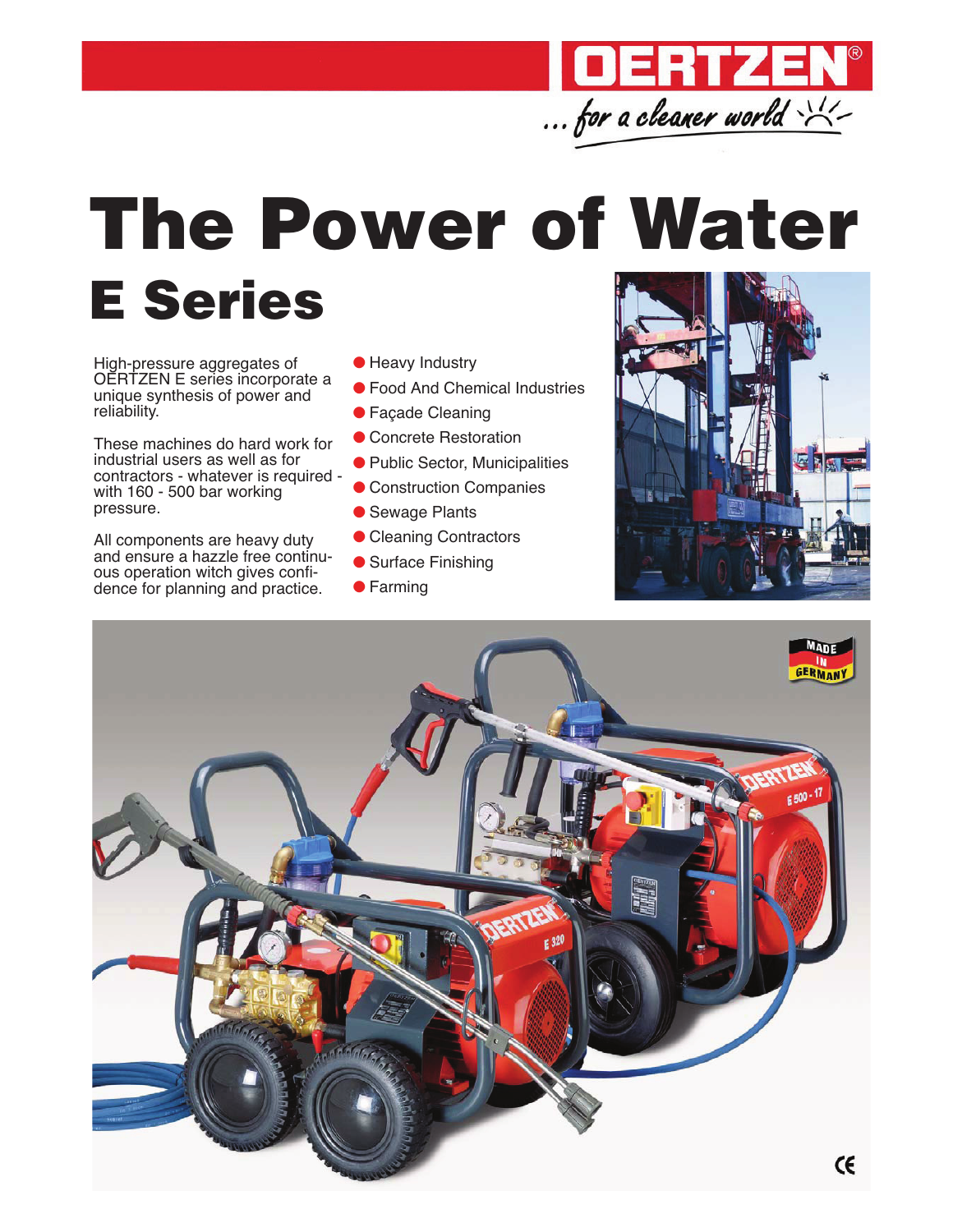

## The Power of Water

## E Series

High-pressure aggregates of OERTZEN E series incorporate a unique synthesis of power and reliability.

These machines do hard work for industrial users as well as for contractors - whatever is required with 160 - 500 bar working pressure.

All components are heavy duty and ensure a hazzle free continuous operation witch gives confidence for planning and practice.

- Heavy Industry
- Food And Chemical Industries
- Façade Cleaning
- Concrete Restoration
- Public Sector, Municipalities
- Construction Companies
- Sewage Plants
- Cleaning Contractors
- Surface Finishing
- Farming